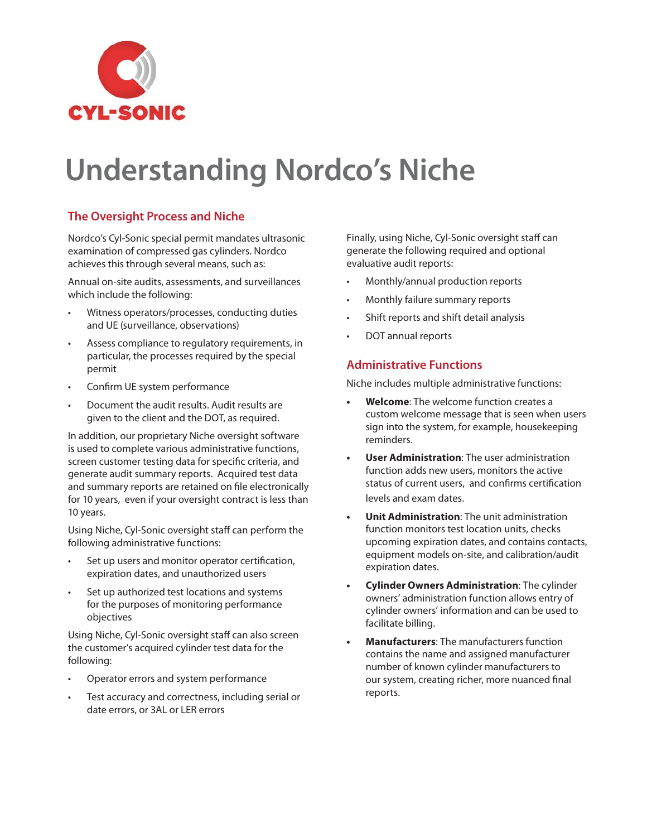

# **Understanding Nordco's Niche**

## **The Oversight Process and Niche**

Nordco's Cyl-Sonic special permit mandates ultrasonic examination of compressed gas cylinders. Nordco achieves this through several means, such as:

Annual on-site audits, assessments, and surveillances which include the following:

- Witness operators/processes, conducting duties and UE (surveillance, observations)
- Assess compliance to regulatory requirements, in particular, the processes required by the special permit
- Confirm UE system performance
- Document the audit results. Audit results are given to the client and the DOT, as required.

In addition, our proprietary Niche oversight software is used to complete various administrative functions, screen customer testing data for specific criteria, and generate audit summary reports. Acquired test data and summary reports are retained on file electronically for 10 years, even if your oversight contract is less than 10 years.

Using Niche, Cyl-Sonic oversight staff can perform the following administrative functions:

- Set up users and monitor operator certification, expiration dates, and unauthorized users
- Set up authorized test locations and systems for the purposes of monitoring performance objectives

Using Niche, Cyl-Sonic oversight staff can also screen the customer's acquired cylinder test data for the following:

- Operator errors and system performance
- Test accuracy and correctness, including serial or date errors, or 3AL or LER errors

Finally, using Niche, Cyl-Sonic oversight staff can generate the following required and optional evaluative audit reports:

- Monthly/annual production reports
- Monthly failure summary reports
- Shift reports and shift detail analysis
- DOT annual reports

### **Administrative Functions**

Niche includes multiple administrative functions:

- **Welcome**: The welcome function creates a custom welcome message that is seen when users sign into the system, for example, housekeeping reminders.
- **User Administration**: The user administration function adds new users, monitors the active status of current users, and confirms certification levels and exam dates.
- **Unit Administration**: The unit administration function monitors test location units, checks upcoming expiration dates, and contains contacts, equipment models on-site, and calibration/audit expiration dates.
- **Cylinder Owners Administration**: The cylinder owners' administration function allows entry of cylinder owners' information and can be used to facilitate billing.
- **Manufacturers**: The manufacturers function contains the name and assigned manufacturer number of known cylinder manufacturers to our system, creating richer, more nuanced final reports.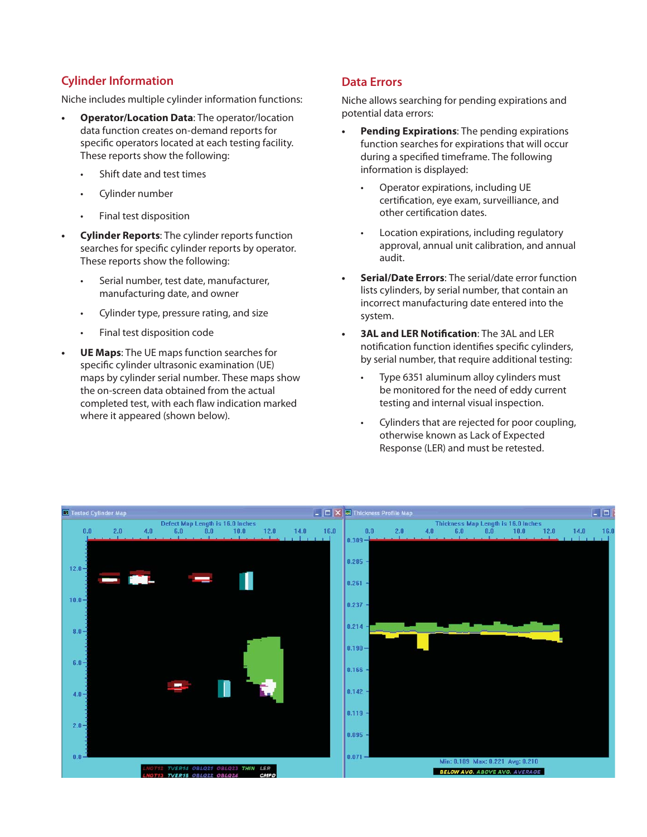## **Cylinder Information**

Niche includes multiple cylinder information functions:

- **Operator/Location Data**: The operator/location data function creates on-demand reports for specific operators located at each testing facility. These reports show the following:
	- Shift date and test times
	- Cylinder number
	- Final test disposition
- **Cylinder Reports**: The cylinder reports function searches for specific cylinder reports by operator. These reports show the following:
	- Serial number, test date, manufacturer, manufacturing date, and owner
	- Cylinder type, pressure rating, and size
	- Final test disposition code
- **UE Maps**: The UE maps function searches for specific cylinder ultrasonic examination (UE) maps by cylinder serial number. These maps show the on-screen data obtained from the actual completed test, with each flaw indication marked where it appeared (shown below).

### **Data Errors**

Niche allows searching for pending expirations and potential data errors:

- **Pending Expirations**: The pending expirations function searches for expirations that will occur during a specified timeframe. The following information is displayed:
	- Operator expirations, including UE certification, eye exam, surveilliance, and other certification dates.
	- Location expirations, including regulatory approval, annual unit calibration, and annual audit.
- **Serial/Date Errors**: The serial/date error function lists cylinders, by serial number, that contain an incorrect manufacturing date entered into the system.
- **3AL and LER Notification: The 3AL and LER** notification function identifies specific cylinders, by serial number, that require additional testing:
	- Type 6351 aluminum alloy cylinders must be monitored for the need of eddy current testing and internal visual inspection.
	- Cylinders that are rejected for poor coupling, otherwise known as Lack of Expected Response (LER) and must be retested.

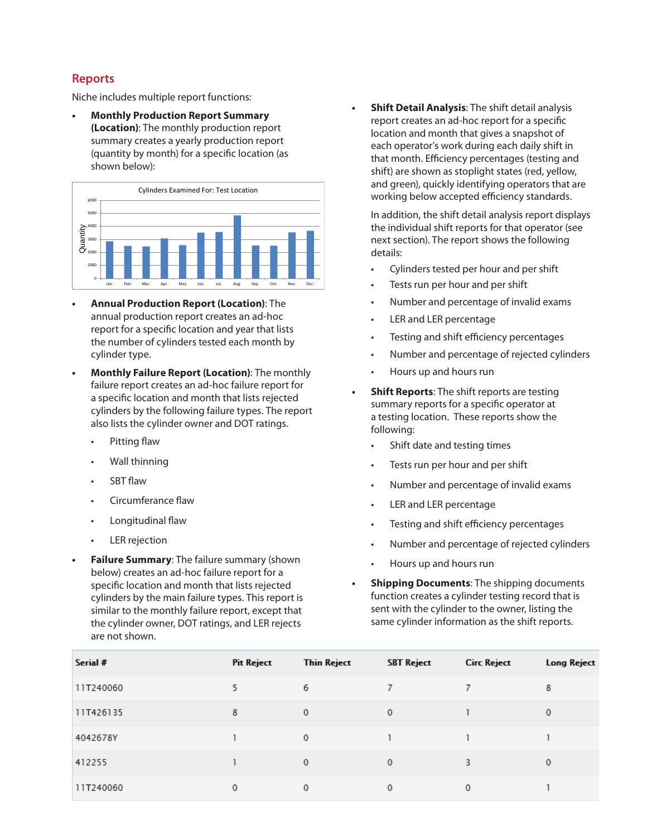### **Reports**

Niche includes multiple report functions:

**• Monthly Production Report Summary (Location)**: The monthly production report summary creates a yearly production report (quantity by month) for a specific location (as shown below):



- **Annual Production Report (Location)**: The annual production report creates an ad-hoc report for a specific location and year that lists the number of cylinders tested each month by cylinder type.
- **Monthly Failure Report (Location)**: The monthly failure report creates an ad-hoc failure report for a specific location and month that lists rejected cylinders by the following failure types. The report also lists the cylinder owner and DOT ratings.
	- Pitting flaw
	- Wall thinning
	- **SBT flaw**
	- Circumferance flaw
	- Longitudinal flaw
	- **LER** rejection
- **Failure Summary:** The failure summary (shown below) creates an ad-hoc failure report for a specific location and month that lists rejected cylinders by the main failure types. This report is similar to the monthly failure report, except that the cylinder owner, DOT ratings, and LER rejects are not shown.

**• Shift Detail Analysis**: The shift detail analysis report creates an ad-hoc report for a specific location and month that gives a snapshot of each operator's work during each daily shift in that month. Efficiency percentages (testing and shift) are shown as stoplight states (red, yellow, and green), quickly identifying operators that are working below accepted efficiency standards.

In addition, the shift detail analysis report displays the individual shift reports for that operator (see next section). The report shows the following details:

- Cylinders tested per hour and per shift
- Tests run per hour and per shift
- Number and percentage of invalid exams
- LER and LER percentage
- Testing and shift efficiency percentages
- Number and percentage of rejected cylinders
- Hours up and hours run
- **Shift Reports:** The shift reports are testing summary reports for a specific operator at a testing location. These reports show the following:
	- Shift date and testing times
	- Tests run per hour and per shift
	- Number and percentage of invalid exams
	- LER and LER percentage
	- Testing and shift efficiency percentages
	- Number and percentage of rejected cylinders
	- Hours up and hours run
- **Shipping Documents**: The shipping documents function creates a cylinder testing record that is sent with the cylinder to the owner, listing the same cylinder information as the shift reports.

| Serial #  | <b>Pit Reject</b> | <b>Thin Reject</b> | <b>SBT Reject</b> | <b>Circ Reject</b> | <b>Long Reject</b> |
|-----------|-------------------|--------------------|-------------------|--------------------|--------------------|
| 11T240060 | 5                 | 6                  | 7                 |                    | 8                  |
| 11T426135 | 8                 | $\mathbf{0}$       | $\mathbf{0}$      |                    | 0                  |
| 4042678Y  |                   | $\mathbf{0}$       |                   |                    |                    |
| 412255    |                   | $\mathbf{0}$       | $\mathbf{0}$      | 3                  | 0                  |
| 11T240060 | 0                 | 0                  | $\mathbf 0$       | 0                  |                    |